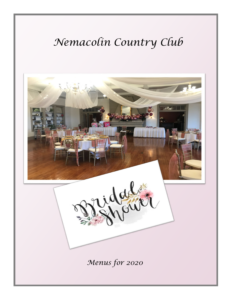# Nemacolin Country Club

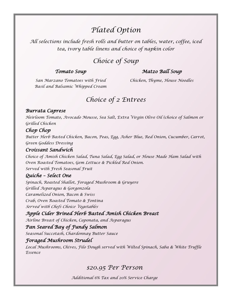# *Plated Option*

*All selections include fresh rolls and butter on tables, water, coffee, iced tea, ivory table linens and choice of napkin color*

### *Choice of Soup*

#### *Tomato Soup*

#### *Matzo Ball Soup*

*San Marzano Tomatoes with Fried Basil and Balsamic Whipped Cream*

*Chicken, Thyme, House Noodles*

### *Choice of 2 Entrees*

#### *Burrata Caprese*

*Heirloom Tomato, Avocado Mousse, Sea Salt, Extra Virgin Olive Oil (choice of Salmon or Grilled Chicken*

#### *Chop Chop*

*Butter Herb Basted Chicken, Bacon, Peas, Egg, Asher Blue, Red Onion, Cucumber, Carrot, Green Goddess Dressing*

#### *Croissant Sandwich*

*Choice of Amish Chicken Salad, Tuna Salad, Egg Salad, or House Made Ham Salad with Oven Roasted Tomatoes, Gem Lettuce & Pickled Red Onion. Served with Fresh Seasonal Fruit*

#### *Quiche – Select One*

*Spinach, Roasted Shallot, Foraged Mushroom & Gruyere Grilled Asparagus & Gorgonzola Caramelized Onion, Bacon & Swiss Crab, Oven Roasted Tomato & Fontina Served with Chefs Choice Vegetables*

#### *Apple Cider Brined Herb Basted Amish Chicken Breast*

*Airline Breast of Chicken, Caponata, and Asparagus* 

#### *Pan Seared Bay of Fundy Salmon*

*Seasonal Succotash, Chardonnay Butter Sauce* 

#### *Foraged Mushroom Strudel*

*Local Mushrooms, Chives, Filo Dough served with Wilted Spinach, Saba & White Truffle Essence* 

#### *\$20.95 Per Person*

*Additional 6% Tax and 20% Service Charge*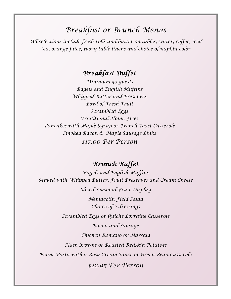### *Breakfast or Brunch Menus*

*All selections include fresh rolls and butter on tables, water, coffee, iced tea, orange juice, ivory table linens and choice of napkin color*

### *Breakfast Buffet*

*Minimum 30 guests Bagels and English Muffins Whipped Butter and Preserves Bowl of Fresh Fruit Scrambled Eggs Traditional Home Fries Pancakes with Maple Syrup or French Toast Casserole Smoked Bacon & Maple Sausage Links \$17.00 Per Person*

### *Brunch Buffet*

*Bagels and English Muffins Served with Whipped Butter, Fruit Preserves and Cream Cheese*

*Sliced Seasonal Fruit Display*

*Nemacolin Field Salad Choice of 2 dressings*

*Scrambled Eggs or Quiche Lorraine Casserole*

*Bacon and Sausage*

*Chicken Romano or Marsala*

*Hash browns or Roasted Redskin Potatoes*

*Penne Pasta with a Rosa Cream Sauce or Green Bean Casserole*

*\$22.95 Per Person*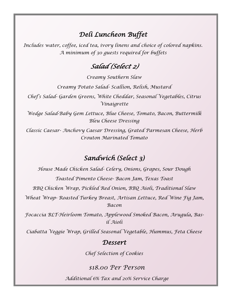### *Deli Luncheon Buffet*

*Includes water, coffee, iced tea, ivory linens and choice of colored napkins. A minimum of 30 guests required for buffets*

### *Salad (Select 2)*

*Creamy Southern Slaw Creamy Potato Salad- Scallion, Relish, Mustard Chef's Salad- Garden Greens, White Cheddar, Seasonal Vegetables, Citrus Vinaigrette Wedge Salad-Baby Gem Lettuce, Blue Cheese, Tomato, Bacon, Buttermilk* 

*Bleu Cheese Dressing* 

*Classic Caesar- Anchovy Caesar Dressing, Grated Parmesan Cheese, Herb Crouton Marinated Tomato*

### *Sandwich (Select 3)*

*House Made Chicken Salad- Celery, Onions, Grapes, Sour Dough Toasted Pimento Cheese- Bacon Jam, Texas Toast BBQ Chicken Wrap, Pickled Red Onion, BBQ Aioli, Traditional Slaw Wheat Wrap- Roasted Turkey Breast, Artisan Lettuce, Red Wine Fig Jam, Bacon*

*Focaccia BLT-Heirloom Tomato, Applewood Smoked Bacon, Arugula, Basil Aioli*

*Ciabatta Veggie Wrap, Grilled Seasonal Vegetable, Hummus, Feta Cheese*

### *Dessert*

*Chef Selection of Cookies* 

#### *\$18.00 Per Person*

*Additional 6% Tax and 20% Service Charge*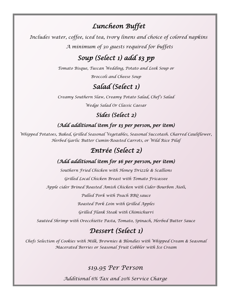### *Luncheon Buffet*

*Includes water, coffee, iced tea, ivory linens and choice of colored napkins A minimum of 30 guests required for buffets*

## *Soup (Select 1) add \$3 pp*

*Tomato Bisque, Tuscan Wedding, Potato and Leek Soup or Broccoli and Cheese Soup*

### *Salad (Select 1)*

*Creamy Southern Slaw, Creamy Potato Salad, Chef's Salad Wedge Salad Or Classic Caesar*

### *Sides (Select 2)*

#### *(Add additional item for \$3 per person, per item)*

*Whipped Potatoes, Baked, Grilled Seasonal Vegetables, Seasonal Succotash. Charred Cauliflower, Herbed Garlic Butter Cumin-Roasted Carrots, or Wild Rice Pilaf*

### *Entrée (Select 2)*

#### *(Add additional item for \$6 per person, per item)*

*Southern Fried Chicken with Honey Drizzle & Scallions Grilled Local Chicken Breast with Tomato Fricassee*

*Apple cider Brined Roasted Amish Chicken with Cider-Bourbon Aioli,*

*Pulled Pork with Peach BBQ sauce* 

*Roasted Pork Loin with Grilled Apples* 

*Grilled Flank Steak with Chimichurri* 

*Sautéed Shrimp with Orecchiette Pasta, Tomato, Spinach, Herbed Butter Sauce*

### *Dessert (Select 1)*

*Chefs Selection of Cookies with Milk, Brownies & Blondies with Whipped Cream & Seasonal Macerated Berries or Seasonal Fruit Cobbler with Ice Cream*

#### *\$19.95 Per Person*

*Additional 6% Tax and 20% Service Charge*